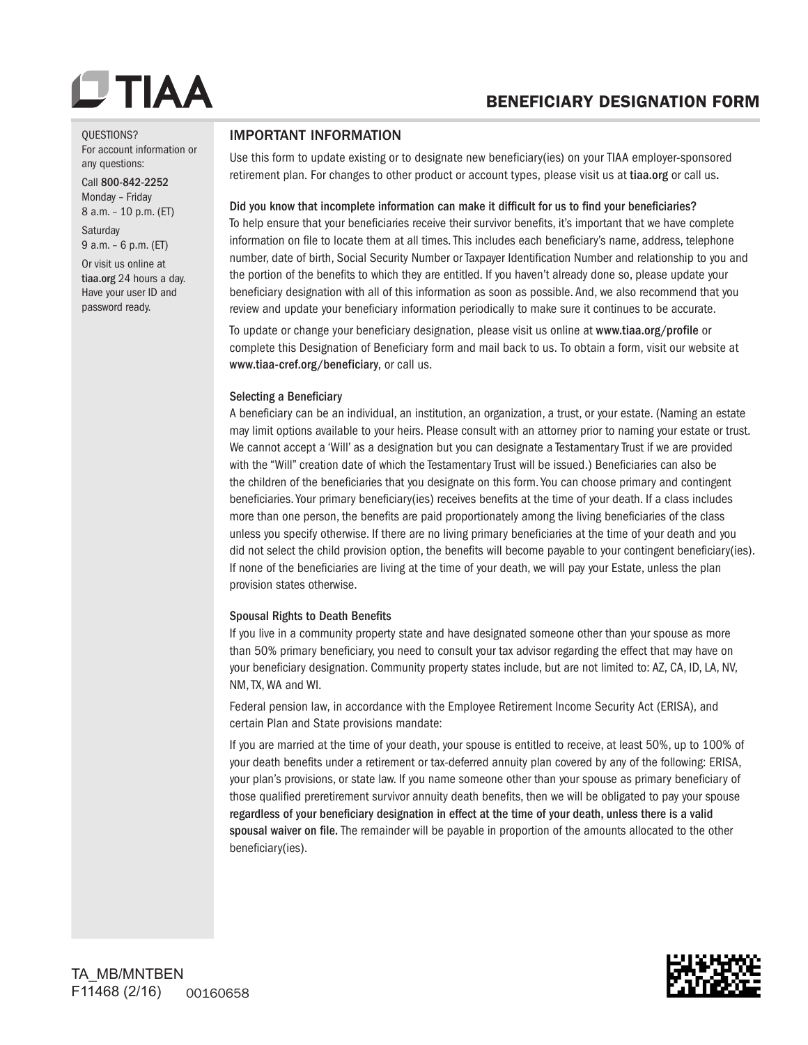## BENEFICIARY DESIGNATION FORM

#### QUESTIONS?

For account information or any questions:

Call 800-842-2252 Monday – Friday 8 a.m. – 10 p.m. (ET)

**Saturday** 9 a.m. – 6 p.m. (ET)

Or visit us online at tiaa.org 24 hours a day. Have your user ID and password ready.

### IMPORTANT INFORMATION

Use this form to update existing or to designate new beneficiary(ies) on your TIAA employer-sponsored retirement plan. For changes to other product or account types, please visit us at tiaa.org or call us.

### Did you know that incomplete information can make it difficult for us to find your beneficiaries?

To help ensure that your beneficiaries receive their survivor benefits, it's important that we have complete information on file to locate them at all times. This includes each beneficiary's name, address, telephone number, date of birth, Social Security Number or Taxpayer Identification Number and relationship to you and the portion of the benefits to which they are entitled. If you haven't already done so, please update your beneficiary designation with all of this information as soon as possible. And, we also recommend that you review and update your beneficiary information periodically to make sure it continues to be accurate.

To update or change your beneficiary designation, please visit us online at www.tiaa.org/profile or complete this Designation of Beneficiary form and mail back to us. To obtain a form, visit our website at www.tiaa-cref.org/beneficiary, or call us.

### Selecting a Beneficiary

A beneficiary can be an individual, an institution, an organization, a trust, or your estate. (Naming an estate may limit options available to your heirs. Please consult with an attorney prior to naming your estate or trust. We cannot accept a 'Will' as a designation but you can designate a Testamentary Trust if we are provided with the "Will" creation date of which the Testamentary Trust will be issued.) Beneficiaries can also be the children of the beneficiaries that you designate on this form. You can choose primary and contingent beneficiaries. Your primary beneficiary(ies) receives benefits at the time of your death. If a class includes more than one person, the benefits are paid proportionately among the living beneficiaries of the class unless you specify otherwise. If there are no living primary beneficiaries at the time of your death and you did not select the child provision option, the benefits will become payable to your contingent beneficiary(ies). If none of the beneficiaries are living at the time of your death, we will pay your Estate, unless the plan provision states otherwise.

### Spousal Rights to Death Benefits

If you live in a community property state and have designated someone other than your spouse as more than 50% primary beneficiary, you need to consult your tax advisor regarding the effect that may have on your beneficiary designation. Community property states include, but are not limited to: AZ, CA, ID, LA, NV, NM, TX, WA and WI.

Federal pension law, in accordance with the Employee Retirement Income Security Act (ERISA), and certain Plan and State provisions mandate:

If you are married at the time of your death, your spouse is entitled to receive, at least 50%, up to 100% of your death benefits under a retirement or tax-deferred annuity plan covered by any of the following: ERISA, your plan's provisions, or state law. If you name someone other than your spouse as primary beneficiary of those qualified preretirement survivor annuity death benefits, then we will be obligated to pay your spouse regardless of your beneficiary designation in effect at the time of your death, unless there is a valid spousal waiver on file. The remainder will be payable in proportion of the amounts allocated to the other beneficiary(ies).

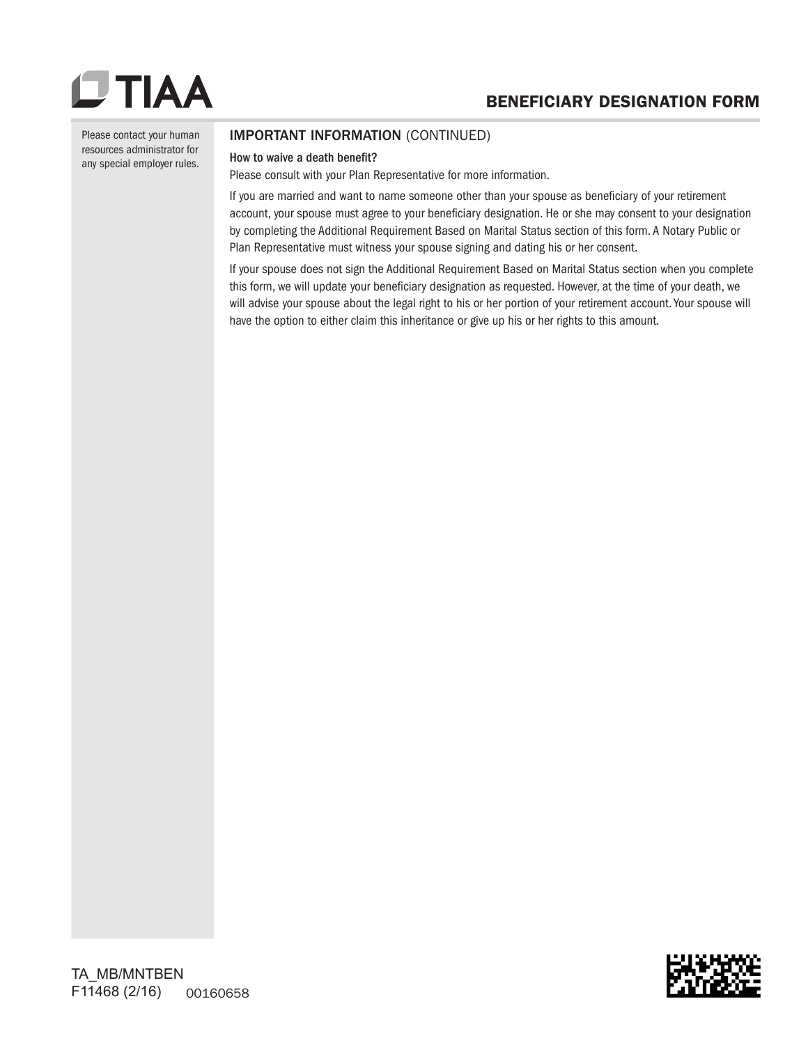Please contact your human resources administrator for any special employer rules.

## IMPORTANT INFORMATION (CONTINUED)

#### How to waive a death benefit?

Please consult with your Plan Representative for more information.

If you are married and want to name someone other than your spouse as beneficiary of your retirement account, your spouse must agree to your beneficiary designation. He or she may consent to your designation by completing the Additional Requirement Based on Marital Status section of this form. A Notary Public or Plan Representative must witness your spouse signing and dating his or her consent.

If your spouse does not sign the Additional Requirement Based on Marital Status section when you complete this form, we will update your beneficiary designation as requested. However, at the time of your death, we will advise your spouse about the legal right to his or her portion of your retirement account. Your spouse will have the option to either claim this inheritance or give up his or her rights to this amount.

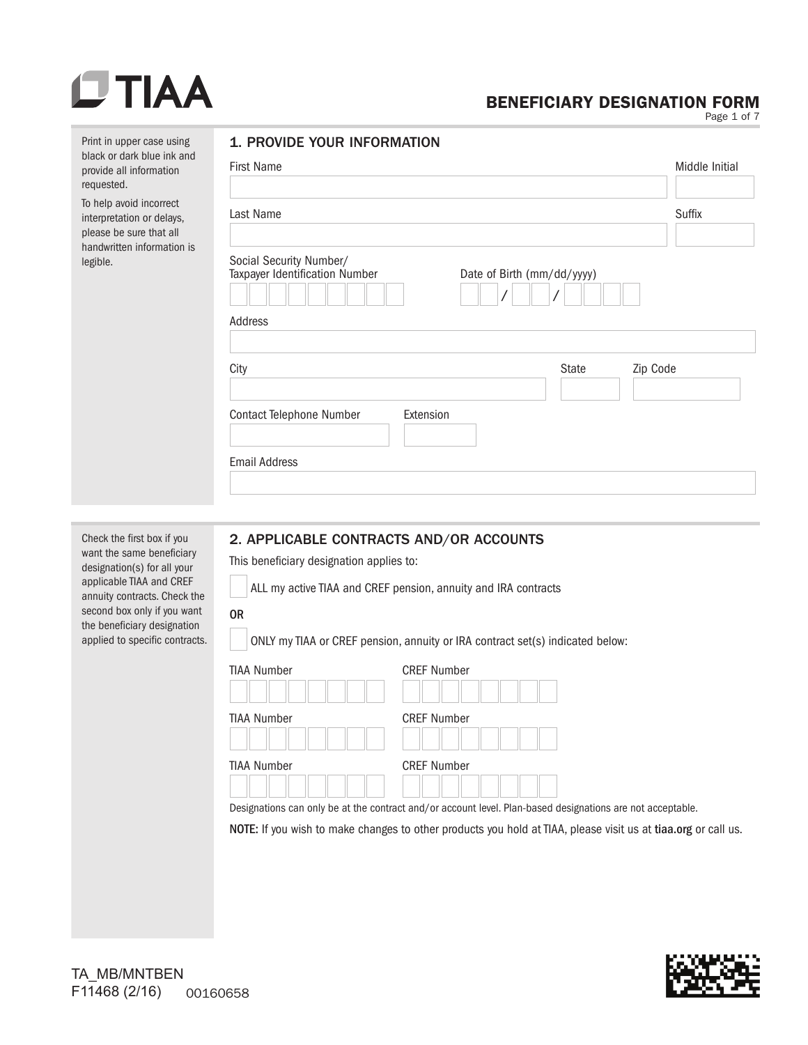# $DTIAA$

## BENEFICIARY DESIGNATION FORM

Page 1 of 7

| Print in upper case using<br>black or dark blue ink and                                                                                                                                                          | 1. PROVIDE YOUR INFORMATION                                                                                                                                        |                |  |  |  |
|------------------------------------------------------------------------------------------------------------------------------------------------------------------------------------------------------------------|--------------------------------------------------------------------------------------------------------------------------------------------------------------------|----------------|--|--|--|
| provide all information<br>requested.                                                                                                                                                                            | <b>First Name</b>                                                                                                                                                  | Middle Initial |  |  |  |
| To help avoid incorrect<br>interpretation or delays,<br>please be sure that all                                                                                                                                  | Last Name                                                                                                                                                          | Suffix         |  |  |  |
| handwritten information is<br>legible.                                                                                                                                                                           | Social Security Number/<br>Taxpayer Identification Number<br>Date of Birth (mm/dd/yyyy)<br>Address                                                                 |                |  |  |  |
|                                                                                                                                                                                                                  |                                                                                                                                                                    |                |  |  |  |
|                                                                                                                                                                                                                  | City<br><b>State</b><br>Zip Code                                                                                                                                   |                |  |  |  |
|                                                                                                                                                                                                                  | <b>Contact Telephone Number</b><br>Extension                                                                                                                       |                |  |  |  |
|                                                                                                                                                                                                                  | <b>Email Address</b>                                                                                                                                               |                |  |  |  |
|                                                                                                                                                                                                                  |                                                                                                                                                                    |                |  |  |  |
|                                                                                                                                                                                                                  |                                                                                                                                                                    |                |  |  |  |
| Check the first box if you<br>want the same beneficiary<br>designation(s) for all your<br>applicable TIAA and CREF<br>annuity contracts. Check the<br>second box only if you want<br>the beneficiary designation | 2. APPLICABLE CONTRACTS AND/OR ACCOUNTS<br>This beneficiary designation applies to:<br>ALL my active TIAA and CREF pension, annuity and IRA contracts<br><b>OR</b> |                |  |  |  |
| applied to specific contracts.                                                                                                                                                                                   | ONLY my TIAA or CREF pension, annuity or IRA contract set(s) indicated below:                                                                                      |                |  |  |  |

ONLY my TIAA or CREF pension, annuity or IRA contract set(s) indicated below:

| <b>TIAA Number</b> | <b>CREF Number</b>                                                                                                               |
|--------------------|----------------------------------------------------------------------------------------------------------------------------------|
| <b>TIAA Number</b> | <b>CREF Number</b>                                                                                                               |
| <b>TIAA Number</b> | <b>CREF Number</b><br>Designations can only be at the contract and/or account level. Plan-based designations are not acceptable. |
|                    | NOTE: If you wish to make changes to other products you hold at TIAA, please visit us at tiaa.org or call us.                    |
|                    |                                                                                                                                  |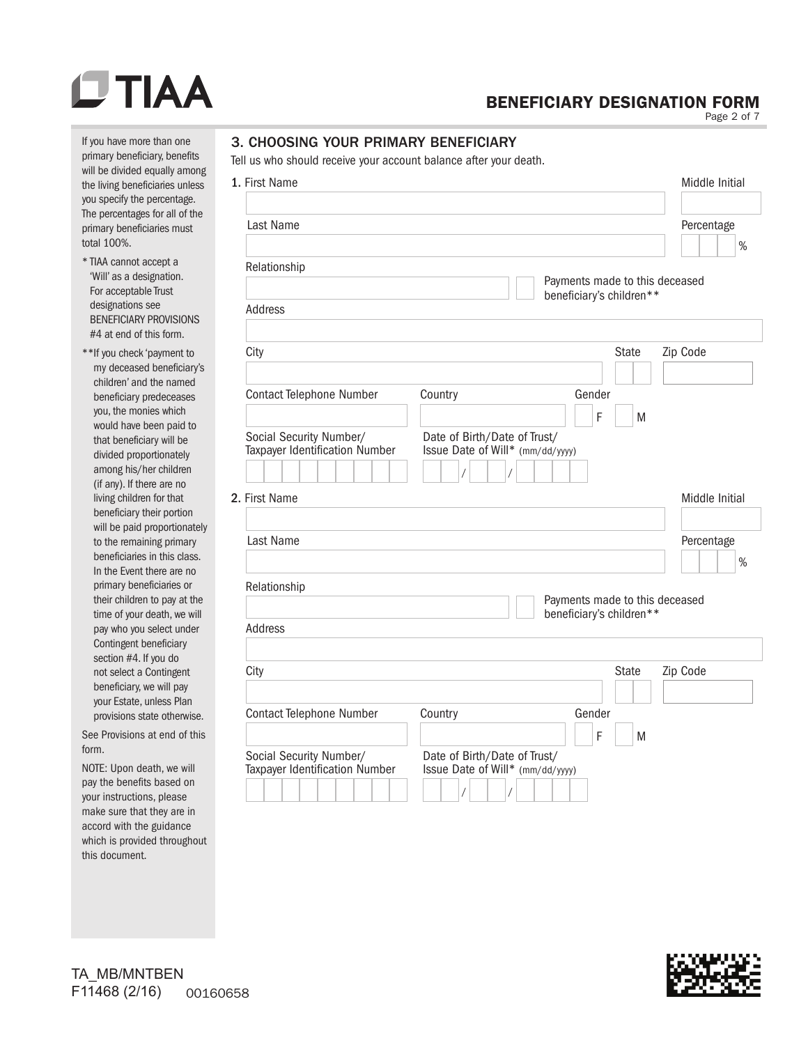#### If you have more than one primary beneficiary, benefits will be divided equally among the living beneficiaries unless you specify the percentage. The percentages for all of the primary beneficiaries must total 100%.

- \* TIAA cannot accept a 'Will' as a designation. For acceptable Trust designations see BENEFICIARY PROVISIONS #4 at end of this form.
- \*\*If you check 'payment to my deceased beneficiary's children' and the named beneficiary predeceases you, the monies which would have been paid to that beneficiary will be divided proportionately among his/her children (if any). If there are no living children for that beneficiary their portion will be paid proportionately to the remaining primary beneficiaries in this class. In the Event there are no primary beneficiaries or their children to pay at the time of your death, we will pay who you select under Contingent beneficiary section #4. If you do not select a Contingent beneficiary, we will pay your Estate, unless Plan provisions state otherwise.

See Provisions at end of this form.

NOTE: Upon death, we will pay the benefits based on your instructions, please make sure that they are in accord with the guidance which is provided throughout this document.

## BENEFICIARY DESIGNATION FORM

Page 2 of 7

## 3. CHOOSING YOUR PRIMARY BENEFICIARY

Tell us who should receive your account balance after your death.

| 1. First Name                                             |                                                                                | Middle Initial     |
|-----------------------------------------------------------|--------------------------------------------------------------------------------|--------------------|
|                                                           |                                                                                |                    |
| Last Name                                                 |                                                                                | Percentage<br>%    |
| Relationship                                              | Payments made to this deceased                                                 |                    |
| Address                                                   | beneficiary's children**                                                       |                    |
|                                                           |                                                                                |                    |
| City                                                      | <b>State</b>                                                                   | Zip Code           |
| Contact Telephone Number                                  | Country<br>Gender<br>F<br>M                                                    |                    |
| Social Security Number/<br>Taxpayer Identification Number | Date of Birth/Date of Trust/<br>Issue Date of Will* (mm/dd/yyyy)               |                    |
| 2. First Name                                             |                                                                                | Middle Initial     |
|                                                           |                                                                                |                    |
| Last Name                                                 |                                                                                | Percentage<br>$\%$ |
| Relationship                                              | Payments made to this deceased                                                 |                    |
| Address                                                   | beneficiary's children**                                                       |                    |
|                                                           |                                                                                |                    |
| City                                                      | <b>State</b>                                                                   | Zip Code           |
| <b>Contact Telephone Number</b>                           | Gender<br>Country<br>F<br>M                                                    |                    |
| Social Security Number/<br>Taxpayer Identification Number | Date of Birth/Date of Trust/<br>Issue Date of Will* (mm/dd/yyyy)<br>$\sqrt{2}$ |                    |

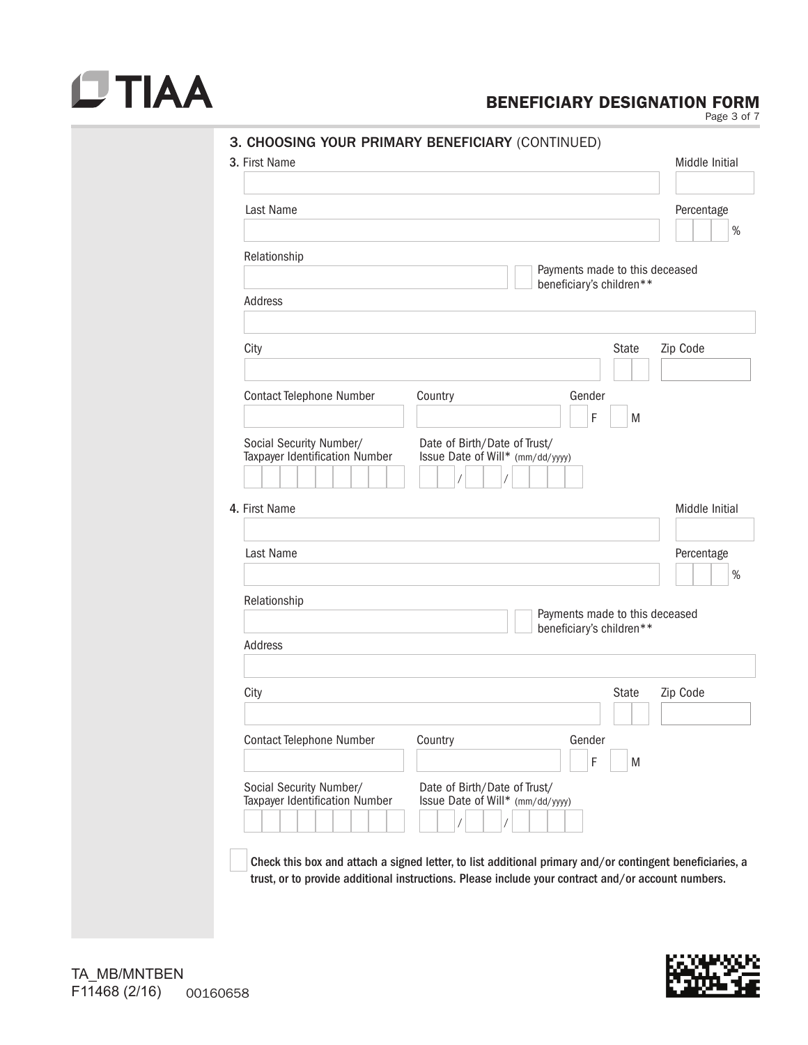# $DTIAA$

## BENEFICIARY DESIGNATION FORM

Page 3 of 7

| Last Name                                                 | Percentage                                                       |
|-----------------------------------------------------------|------------------------------------------------------------------|
|                                                           |                                                                  |
| Relationship                                              | Payments made to this deceased                                   |
| Address                                                   | beneficiary's children**                                         |
|                                                           |                                                                  |
| City                                                      | Zip Code<br><b>State</b>                                         |
|                                                           |                                                                  |
| <b>Contact Telephone Number</b>                           | Country<br>Gender                                                |
|                                                           | F<br>M                                                           |
| Social Security Number/<br>Taxpayer Identification Number | Date of Birth/Date of Trust/<br>Issue Date of Will* (mm/dd/yyyy) |
|                                                           |                                                                  |
| 4. First Name                                             | Middle Initial                                                   |
| Last Name                                                 | Percentage                                                       |
|                                                           |                                                                  |
| Relationship                                              | Payments made to this deceased                                   |
|                                                           | beneficiary's children**                                         |
| Address                                                   |                                                                  |
| City                                                      | Zip Code<br><b>State</b>                                         |
|                                                           |                                                                  |
| <b>Contact Telephone Number</b>                           | Country<br>Gender                                                |
|                                                           | F<br>M                                                           |
|                                                           | Date of Birth/Date of Trust/<br>Issue Date of Will* (mm/dd/yyyy) |
| Social Security Number/                                   |                                                                  |
| Taxpayer Identification Number                            |                                                                  |

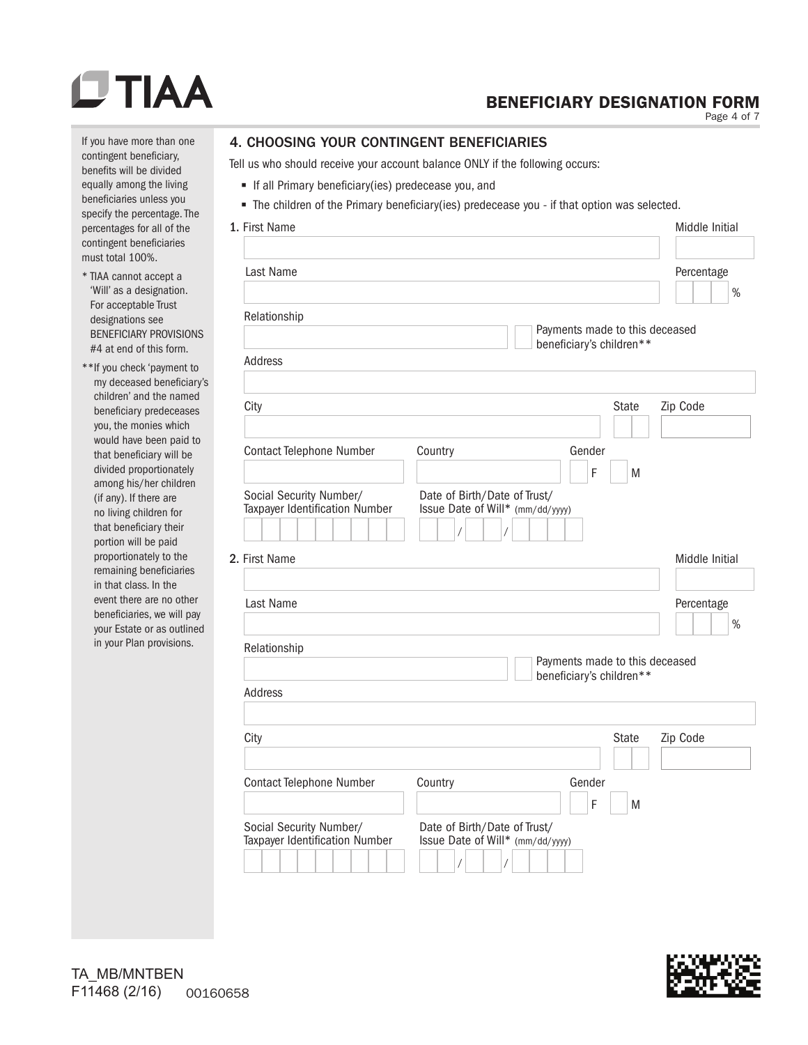# **OTIAA**

## BENEFICIARY DESIGNATION FORM

Page 4 of 7

If you have more than one contingent beneficiary, benefits will be divided equally among the living beneficiaries unless you specify the percentage. The percentages for all of the contingent beneficiaries must total 100%.

- \* TIAA cannot accept a 'Will' as a designation. For acceptable Trust designations see BENEFICIARY PROVISIONS #4 at end of this form.
- \*\*If you check 'payment to my deceased beneficiary's children' and the named beneficiary predeceases you, the monies which would have been paid to that beneficiary will be divided proportionately among his/her children (if any). If there are no living children for that beneficiary their portion will be paid proportionately to the remaining beneficiaries in that class. In the event there are no other beneficiaries, we will pay your Estate or as outlined in your Plan provisions.

### 4. CHOOSING YOUR CONTINGENT BENEFICIARIES

Tell us who should receive your account balance ONLY if the following occurs:

- If all Primary beneficiary(ies) predecease you, and
- The children of the Primary beneficiary(ies) predecease you if that option was selected.

| 1. First Name                                             |                                                                  | Middle Initial     |
|-----------------------------------------------------------|------------------------------------------------------------------|--------------------|
| Last Name                                                 |                                                                  | Percentage<br>$\%$ |
| Relationship                                              | Payments made to this deceased<br>beneficiary's children**       |                    |
| Address                                                   |                                                                  |                    |
| City                                                      | <b>State</b>                                                     | Zip Code           |
| <b>Contact Telephone Number</b>                           | Country<br>Gender<br>F<br>M                                      |                    |
| Social Security Number/<br>Taxpayer Identification Number | Date of Birth/Date of Trust/<br>Issue Date of Will* (mm/dd/yyyy) |                    |
| 2. First Name                                             |                                                                  | Middle Initial     |
| Last Name                                                 |                                                                  | Percentage<br>$\%$ |
| Relationship                                              | Payments made to this deceased                                   |                    |
| <b>Address</b>                                            | beneficiary's children**                                         |                    |
| City                                                      | <b>State</b>                                                     | Zip Code           |
| <b>Contact Telephone Number</b>                           | Country<br>Gender<br>F<br>M                                      |                    |
| Social Security Number/<br>Taxpayer Identification Number | Date of Birth/Date of Trust/<br>Issue Date of Will* (mm/dd/yyyy) |                    |

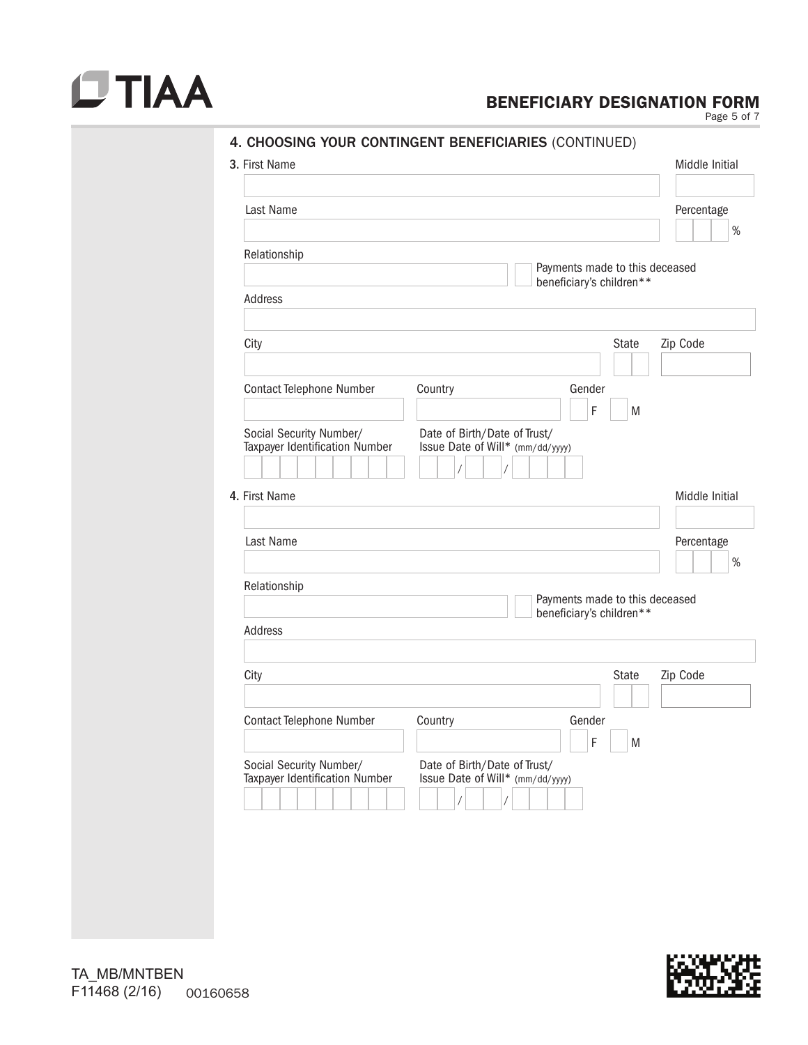

## BENEFICIARY DESIGNATION FORM

Page 5 of 7

|                                                           |                                                                  | Middle Initial     |
|-----------------------------------------------------------|------------------------------------------------------------------|--------------------|
| Last Name                                                 |                                                                  | Percentage<br>$\%$ |
| Relationship                                              | Payments made to this deceased                                   |                    |
| Address                                                   | beneficiary's children**                                         |                    |
| City                                                      | <b>State</b>                                                     | Zip Code           |
|                                                           | Gender                                                           |                    |
| Contact Telephone Number                                  | Country<br>F<br>M                                                |                    |
| Social Security Number/<br>Taxpayer Identification Number | Date of Birth/Date of Trust/<br>Issue Date of Will* (mm/dd/yyyy) |                    |
| 4. First Name                                             |                                                                  | Middle Initial     |
| Last Name                                                 |                                                                  | Percentage<br>$\%$ |
| Relationship                                              |                                                                  |                    |
| Address                                                   | Payments made to this deceased<br>beneficiary's children**       |                    |
|                                                           |                                                                  |                    |
| City                                                      | <b>State</b>                                                     | Zip Code           |
|                                                           | Country<br>Gender                                                |                    |
| Contact Telephone Number                                  | F<br>M                                                           |                    |



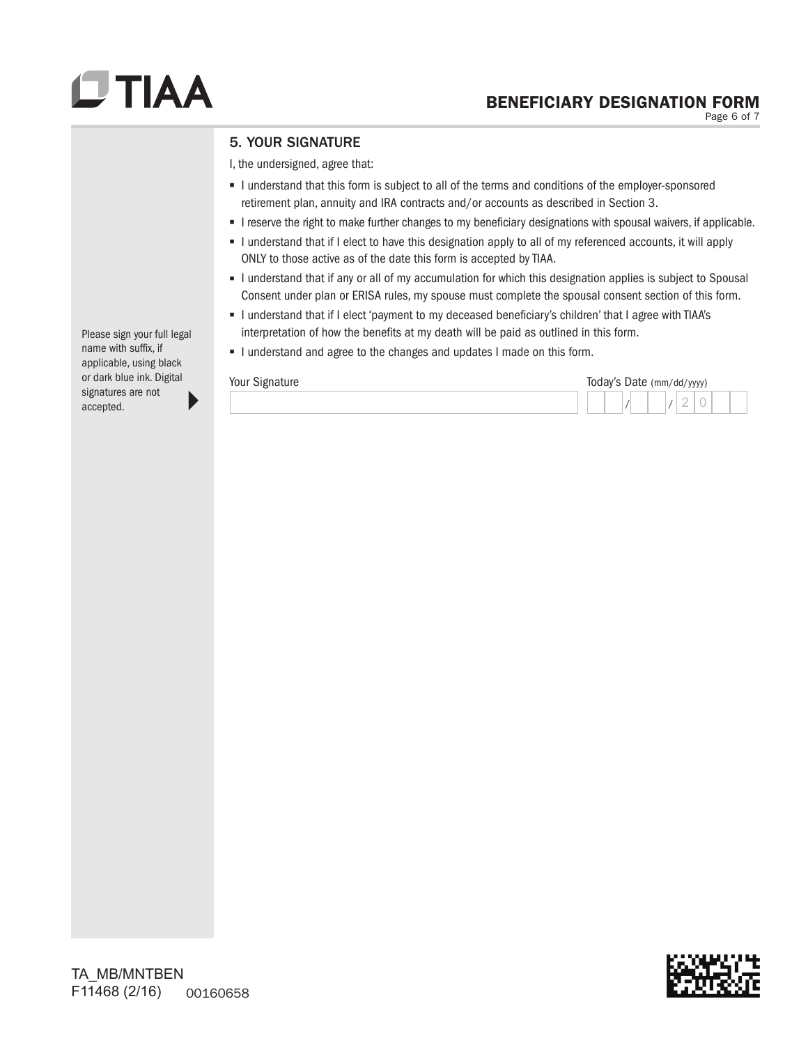Page 6 of 7

## 5. YOUR SIGNATURE

I, the undersigned, agree that:

- I understand that this form is subject to all of the terms and conditions of the employer-sponsored retirement plan, annuity and IRA contracts and/or accounts as described in Section 3.
- I reserve the right to make further changes to my beneficiary designations with spousal waivers, if applicable.
- I understand that if I elect to have this designation apply to all of my referenced accounts, it will apply ONLY to those active as of the date this form is accepted by TIAA.
- I understand that if any or all of my accumulation for which this designation applies is subject to Spousal Consent under plan or ERISA rules, my spouse must complete the spousal consent section of this form.
- I understand that if I elect 'payment to my deceased beneficiary's children' that I agree with TIAA's interpretation of how the benefits at my death will be paid as outlined in this form.
- I understand and agree to the changes and updates I made on this form.

| Your Signature |  |  |  |  | Today's Date (mm/dd/yyyy) |  |
|----------------|--|--|--|--|---------------------------|--|
|                |  |  |  |  | ◡                         |  |

Please sign your full legal name with suffix, if applicable, using black or dark blue ink. Digital signatures are not accepted.

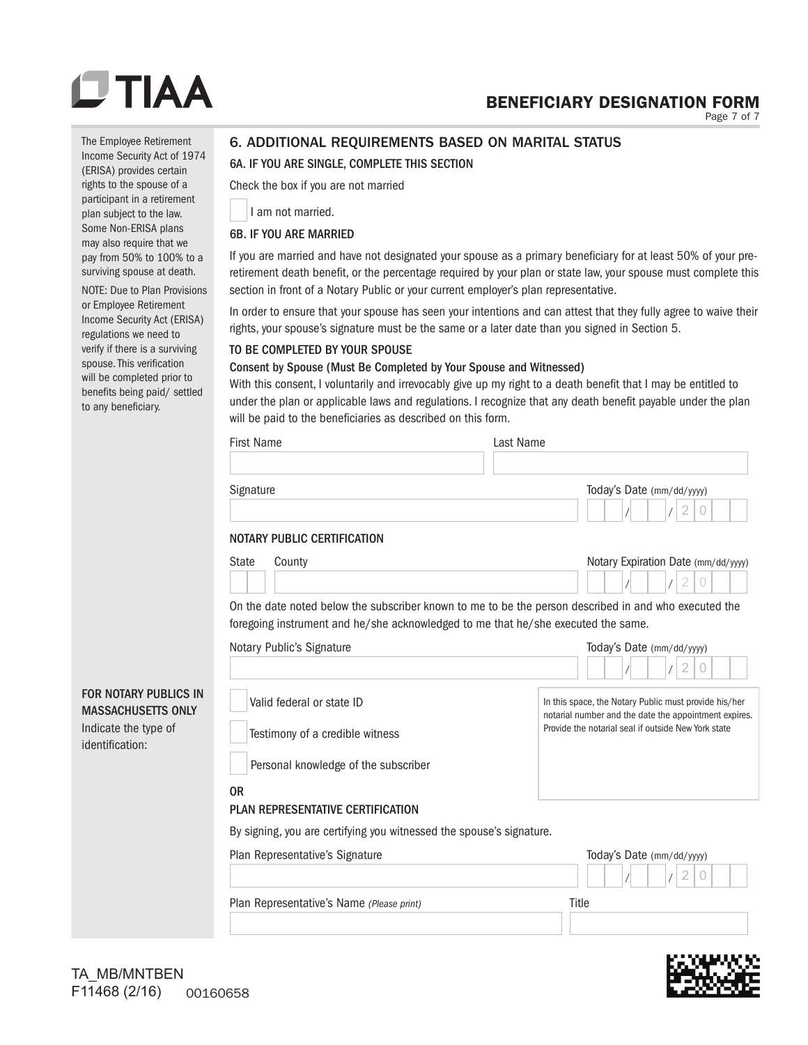## BENEFICIARY DESIGNATION FORM

Page 7 of 7

The Employee Retirement Income Security Act of 1974 (ERISA) provides certain rights to the spouse of a participant in a retirement plan subject to the law. Some Non-ERISA plans may also require that we pay from 50% to 100% to a surviving spouse at death.

NOTE: Due to Plan Provisions or Employee Retirement Income Security Act (ERISA) regulations we need to verify if there is a surviving spouse. This verification will be completed prior to benefits being paid/ settled to any beneficiary.

## 6. ADDITIONAL REQUIREMENTS BASED ON MARITAL STATUS

## 6A. IF YOU ARE SINGLE, COMPLETE THIS SECTION

Check the box if you are not married

I am not married.

### 6B. IF YOU ARE MARRIED

If you are married and have not designated your spouse as a primary beneficiary for at least 50% of your preretirement death benefit, or the percentage required by your plan or state law, your spouse must complete this section in front of a Notary Public or your current employer's plan representative.

In order to ensure that your spouse has seen your intentions and can attest that they fully agree to waive their rights, your spouse's signature must be the same or a later date than you signed in Section 5.

### TO BE COMPLETED BY YOUR SPOUSE

### Consent by Spouse (Must Be Completed by Your Spouse and Witnessed)

With this consent, I voluntarily and irrevocably give up my right to a death benefit that I may be entitled to under the plan or applicable laws and regulations. I recognize that any death benefit payable under the plan will be paid to the beneficiaries as described on this form.

|                                                                                                      | <b>First Name</b>                                                                                           | Last Name                                                                                                                                                             |
|------------------------------------------------------------------------------------------------------|-------------------------------------------------------------------------------------------------------------|-----------------------------------------------------------------------------------------------------------------------------------------------------------------------|
|                                                                                                      | Signature                                                                                                   | Today's Date (mm/dd/yyyy)<br>2<br>$\theta$                                                                                                                            |
|                                                                                                      | NOTARY PUBLIC CERTIFICATION                                                                                 |                                                                                                                                                                       |
|                                                                                                      | <b>State</b><br>County<br>foregoing instrument and he/she acknowledged to me that he/she executed the same. | Notary Expiration Date (mm/dd/yyyy)<br>2<br>$\overline{0}$<br>On the date noted below the subscriber known to me to be the person described in and who executed the   |
|                                                                                                      | Notary Public's Signature                                                                                   | Today's Date (mm/dd/yyyy)                                                                                                                                             |
|                                                                                                      |                                                                                                             | $\overline{2}$<br>$\theta$                                                                                                                                            |
| <b>FOR NOTARY PUBLICS IN</b><br><b>MASSACHUSETTS ONLY</b><br>Indicate the type of<br>identification: | Valid federal or state ID<br>Testimony of a credible witness                                                | In this space, the Notary Public must provide his/her<br>notarial number and the date the appointment expires.<br>Provide the notarial seal if outside New York state |
|                                                                                                      | Personal knowledge of the subscriber                                                                        |                                                                                                                                                                       |
|                                                                                                      | <b>OR</b><br><b>PLAN REPRESENTATIVE CERTIFICATION</b>                                                       |                                                                                                                                                                       |
|                                                                                                      | By signing, you are certifying you witnessed the spouse's signature.                                        |                                                                                                                                                                       |
|                                                                                                      | Plan Representative's Signature                                                                             | Today's Date (mm/dd/yyyy)                                                                                                                                             |
|                                                                                                      | Plan Representative's Name (Please print)                                                                   | Title                                                                                                                                                                 |
|                                                                                                      |                                                                                                             |                                                                                                                                                                       |

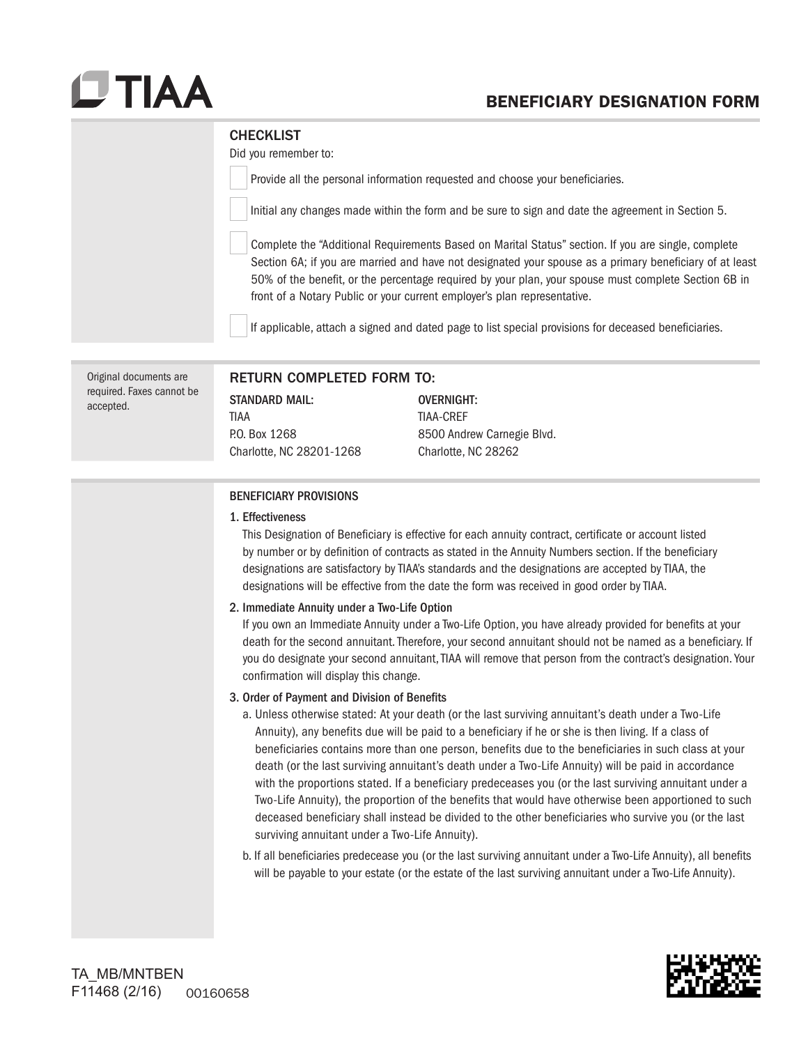## BENEFICIARY DESIGNATION FORM

### **CHECKLIST**

Did you remember to:

Provide all the personal information requested and choose your beneficiaries.

Initial any changes made within the form and be sure to sign and date the agreement in Section 5.

Complete the "Additional Requirements Based on Marital Status" section. If you are single, complete Section 6A; if you are married and have not designated your spouse as a primary beneficiary of at least 50% of the benefit, or the percentage required by your plan, your spouse must complete Section 6B in front of a Notary Public or your current employer's plan representative.

If applicable, attach a signed and dated page to list special provisions for deceased beneficiaries.

| Original documents are<br>required. Faxes cannot be<br>accepted. | RETURN COMPLETED FORM TO:<br><b>STANDARD MAIL:</b><br>TIAA<br>P.O. Box 1268<br>Charlotte, NC 28201-1268 | OVERNIGHT:<br><b>TIAA-CREF</b><br>8500 Andrew Carnegie Blvd.<br>Charlotte, NC 28262                                                                                                                          |
|------------------------------------------------------------------|---------------------------------------------------------------------------------------------------------|--------------------------------------------------------------------------------------------------------------------------------------------------------------------------------------------------------------|
|                                                                  | <b>BENEFICIARY PROVISIONS</b><br>1. Effectiveness                                                       | This Designation of Beneficiary is effective for each annuity contract, certificate or account listed<br>by number or by definition of contracts as stated in the Annuity Numbers section If the heneficiary |

by number or by definition of contracts as stated in the Annuity Numbers section. If the beneficiary designations are satisfactory by TIAA's standards and the designations are accepted by TIAA, the designations will be effective from the date the form was received in good order by TIAA.

2. Immediate Annuity under a Two-Life Option

If you own an Immediate Annuity under a Two-Life Option, you have already provided for benefits at your death for the second annuitant. Therefore, your second annuitant should not be named as a beneficiary. If you do designate your second annuitant, TIAA will remove that person from the contract's designation. Your confirmation will display this change.

#### 3. Order of Payment and Division of Benefits

- a. Unless otherwise stated: At your death (or the last surviving annuitant's death under a Two-Life Annuity), any benefits due will be paid to a beneficiary if he or she is then living. If a class of beneficiaries contains more than one person, benefits due to the beneficiaries in such class at your death (or the last surviving annuitant's death under a Two-Life Annuity) will be paid in accordance with the proportions stated. If a beneficiary predeceases you (or the last surviving annuitant under a Two-Life Annuity), the proportion of the benefits that would have otherwise been apportioned to such deceased beneficiary shall instead be divided to the other beneficiaries who survive you (or the last surviving annuitant under a Two-Life Annuity).
- b. If all beneficiaries predecease you (or the last surviving annuitant under a Two-Life Annuity), all benefits will be payable to your estate (or the estate of the last surviving annuitant under a Two-Life Annuity).

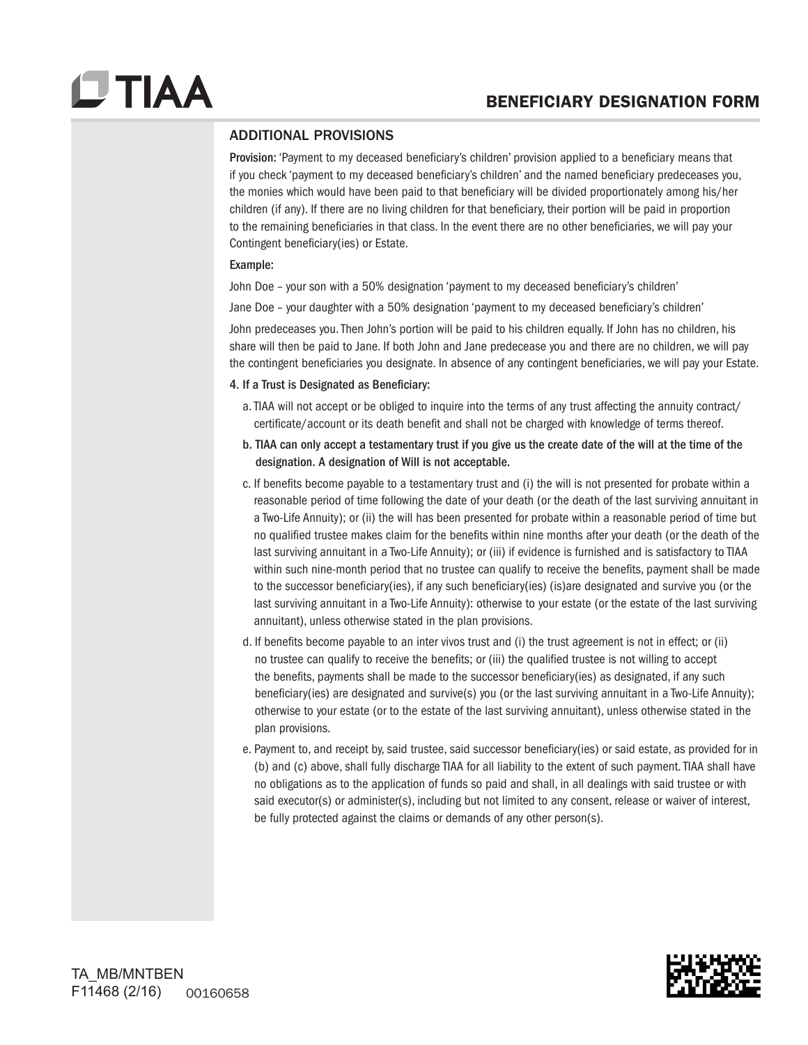## ADDITIONAL PROVISIONS

Provision: 'Payment to my deceased beneficiary's children' provision applied to a beneficiary means that if you check 'payment to my deceased beneficiary's children' and the named beneficiary predeceases you, the monies which would have been paid to that beneficiary will be divided proportionately among his/her children (if any). If there are no living children for that beneficiary, their portion will be paid in proportion to the remaining beneficiaries in that class. In the event there are no other beneficiaries, we will pay your Contingent beneficiary(ies) or Estate.

### Example:

John Doe – your son with a 50% designation 'payment to my deceased beneficiary's children'

Jane Doe – your daughter with a 50% designation 'payment to my deceased beneficiary's children'

John predeceases you. Then John's portion will be paid to his children equally. If John has no children, his share will then be paid to Jane. If both John and Jane predecease you and there are no children, we will pay the contingent beneficiaries you designate. In absence of any contingent beneficiaries, we will pay your Estate.

### 4. If a Trust is Designated as Beneficiary:

- a. TIAA will not accept or be obliged to inquire into the terms of any trust affecting the annuity contract/ certificate/account or its death benefit and shall not be charged with knowledge of terms thereof.
- b. TIAA can only accept a testamentary trust if you give us the create date of the will at the time of the designation. A designation of Will is not acceptable.
- c. If benefits become payable to a testamentary trust and (i) the will is not presented for probate within a reasonable period of time following the date of your death (or the death of the last surviving annuitant in a Two-Life Annuity); or (ii) the will has been presented for probate within a reasonable period of time but no qualified trustee makes claim for the benefits within nine months after your death (or the death of the last surviving annuitant in a Two-Life Annuity); or (iii) if evidence is furnished and is satisfactory to TIAA within such nine-month period that no trustee can qualify to receive the benefits, payment shall be made to the successor beneficiary(ies), if any such beneficiary(ies) (is)are designated and survive you (or the last surviving annuitant in a Two-Life Annuity): otherwise to your estate (or the estate of the last surviving annuitant), unless otherwise stated in the plan provisions.
- d. If benefits become payable to an inter vivos trust and (i) the trust agreement is not in effect; or (ii) no trustee can qualify to receive the benefits; or (iii) the qualified trustee is not willing to accept the benefits, payments shall be made to the successor beneficiary(ies) as designated, if any such beneficiary(ies) are designated and survive(s) you (or the last surviving annuitant in a Two-Life Annuity); otherwise to your estate (or to the estate of the last surviving annuitant), unless otherwise stated in the plan provisions.
- e. Payment to, and receipt by, said trustee, said successor beneficiary(ies) or said estate, as provided for in (b) and (c) above, shall fully discharge TIAA for all liability to the extent of such payment. TIAA shall have no obligations as to the application of funds so paid and shall, in all dealings with said trustee or with said executor(s) or administer(s), including but not limited to any consent, release or waiver of interest, be fully protected against the claims or demands of any other person(s).